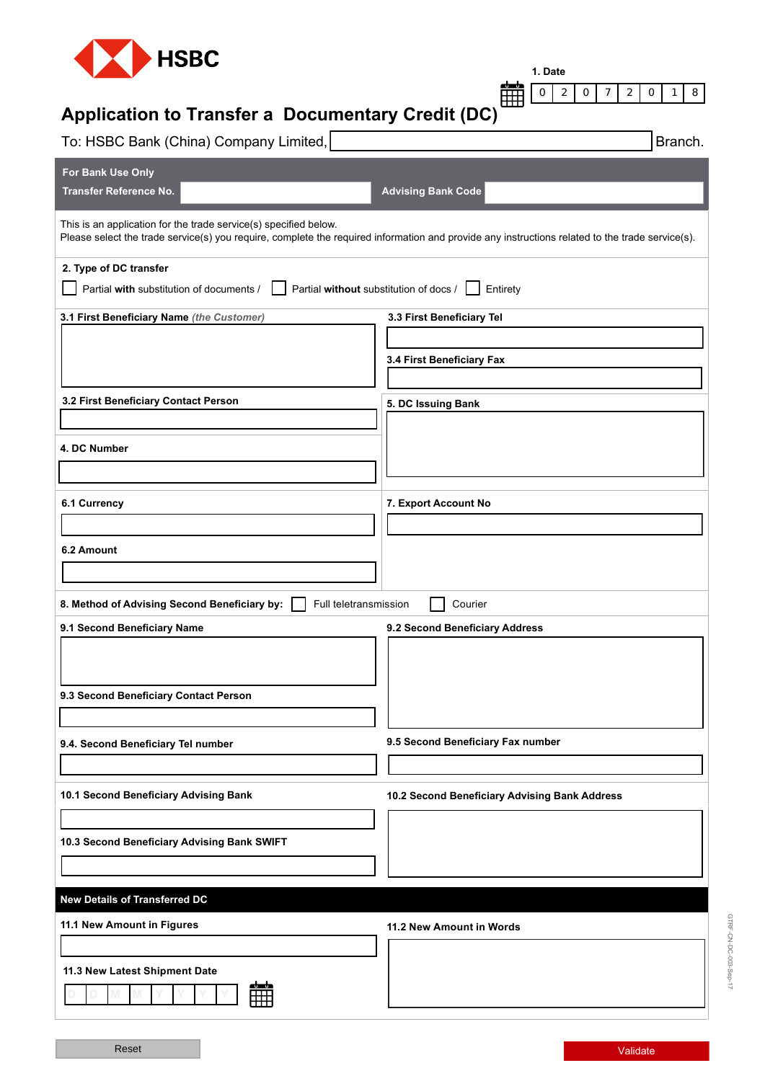

**1. Date**

**D D M M Y Y Y Y**

0 2 0 7 2 0 1 8

# **Application to Transfer a Documentary Credit (DC)**

| To: HSBC Bank (China) Company Limited,                                | Branch.                                                                                                                                         |
|-----------------------------------------------------------------------|-------------------------------------------------------------------------------------------------------------------------------------------------|
| For Bank Use Only                                                     |                                                                                                                                                 |
| <b>Transfer Reference No.</b>                                         | <b>Advising Bank Code</b>                                                                                                                       |
| This is an application for the trade service(s) specified below.      | Please select the trade service(s) you require, complete the required information and provide any instructions related to the trade service(s). |
| 2. Type of DC transfer                                                |                                                                                                                                                 |
| Partial with substitution of documents /                              | Partial without substitution of docs /<br>Entirety                                                                                              |
| 3.1 First Beneficiary Name (the Customer)                             | 3.3 First Beneficiary Tel                                                                                                                       |
|                                                                       |                                                                                                                                                 |
|                                                                       | 3.4 First Beneficiary Fax                                                                                                                       |
|                                                                       |                                                                                                                                                 |
| 3.2 First Beneficiary Contact Person                                  | 5. DC Issuing Bank                                                                                                                              |
|                                                                       |                                                                                                                                                 |
| 4. DC Number                                                          |                                                                                                                                                 |
|                                                                       |                                                                                                                                                 |
| 6.1 Currency                                                          | 7. Export Account No                                                                                                                            |
|                                                                       |                                                                                                                                                 |
| 6.2 Amount                                                            |                                                                                                                                                 |
|                                                                       |                                                                                                                                                 |
| 8. Method of Advising Second Beneficiary by:<br>Full teletransmission | Courier                                                                                                                                         |
| 9.1 Second Beneficiary Name                                           | 9.2 Second Beneficiary Address                                                                                                                  |
|                                                                       |                                                                                                                                                 |
|                                                                       |                                                                                                                                                 |
| 9.3 Second Beneficiary Contact Person                                 |                                                                                                                                                 |
|                                                                       |                                                                                                                                                 |
| 9.4. Second Beneficiary Tel number                                    | 9.5 Second Beneficiary Fax number                                                                                                               |
|                                                                       |                                                                                                                                                 |
|                                                                       |                                                                                                                                                 |
| 10.1 Second Beneficiary Advising Bank                                 | 10.2 Second Beneficiary Advising Bank Address                                                                                                   |
|                                                                       |                                                                                                                                                 |
| 10.3 Second Beneficiary Advising Bank SWIFT                           |                                                                                                                                                 |
|                                                                       |                                                                                                                                                 |
| <b>New Details of Transferred DC</b>                                  |                                                                                                                                                 |
| 11.1 New Amount in Figures                                            | 11.2 New Amount in Words                                                                                                                        |
|                                                                       |                                                                                                                                                 |
| 11.3 New Latest Shipment Date                                         |                                                                                                                                                 |
| 龠                                                                     |                                                                                                                                                 |